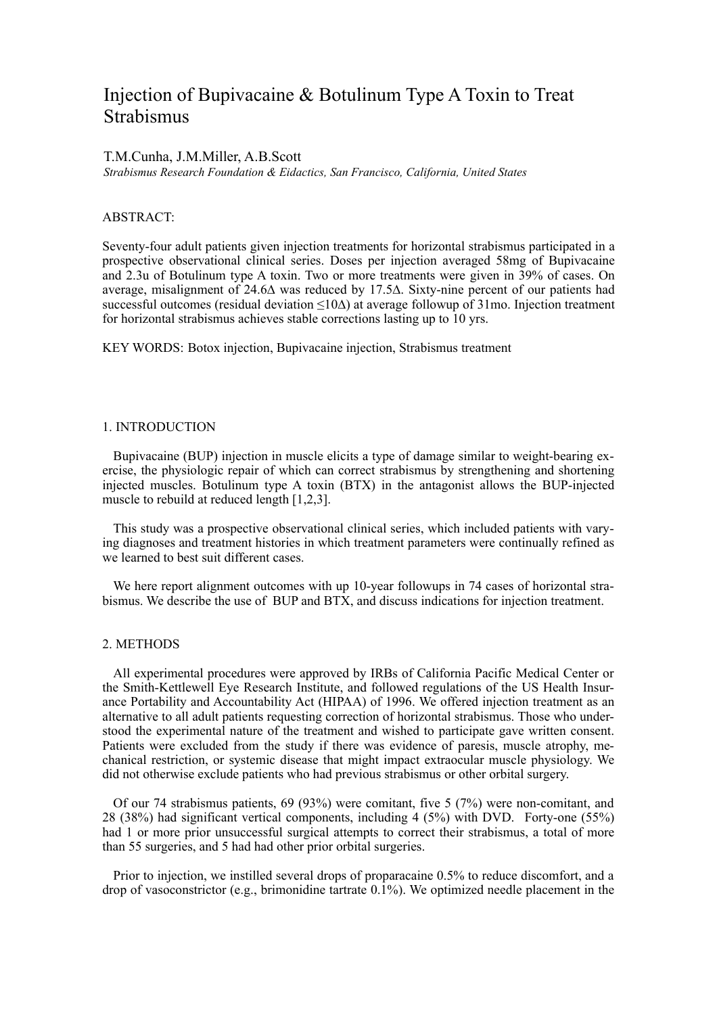# Injection of Bupivacaine & Botulinum Type A Toxin to Treat Strabismus

### T.M.Cunha, J.M.Miller, A.B.Scott

*Strabismus Research Foundation & Eidactics, San Francisco, California, United States*

## ABSTRACT:

Seventy-four adult patients given injection treatments for horizontal strabismus participated in a prospective observational clinical series. Doses per injection averaged 58mg of Bupivacaine and 2.3u of Botulinum type A toxin. Two or more treatments were given in 39% of cases. On average, misalignment of 24.6∆ was reduced by 17.5∆. Sixty-nine percent of our patients had successful outcomes (residual deviation <10∆) at average followup of 31mo. Injection treatment for horizontal strabismus achieves stable corrections lasting up to 10 yrs.

KEY WORDS: Botox injection, Bupivacaine injection, Strabismus treatment

#### 1. INTRODUCTION

Bupivacaine (BUP) injection in muscle elicits a type of damage similar to weight-bearing exercise, the physiologic repair of which can correct strabismus by strengthening and shortening injected muscles. Botulinum type A toxin (BTX) in the antagonist allows the BUP-injected muscle to rebuild at reduced length [1,2,3].

This study was a prospective observational clinical series, which included patients with varying diagnoses and treatment histories in which treatment parameters were continually refined as we learned to best suit different cases.

We here report alignment outcomes with up 10-year followups in 74 cases of horizontal strabismus. We describe the use of BUP and BTX, and discuss indications for injection treatment.

#### 2. METHODS

All experimental procedures were approved by IRBs of California Pacific Medical Center or the Smith-Kettlewell Eye Research Institute, and followed regulations of the US Health Insurance Portability and Accountability Act (HIPAA) of 1996. We offered injection treatment as an alternative to all adult patients requesting correction of horizontal strabismus. Those who understood the experimental nature of the treatment and wished to participate gave written consent. Patients were excluded from the study if there was evidence of paresis, muscle atrophy, mechanical restriction, or systemic disease that might impact extraocular muscle physiology. We did not otherwise exclude patients who had previous strabismus or other orbital surgery.

Of our 74 strabismus patients, 69 (93%) were comitant, five 5 (7%) were non-comitant, and 28 (38%) had significant vertical components, including 4 (5%) with DVD. Forty-one (55%) had 1 or more prior unsuccessful surgical attempts to correct their strabismus, a total of more than 55 surgeries, and 5 had had other prior orbital surgeries.

Prior to injection, we instilled several drops of proparacaine 0.5% to reduce discomfort, and a drop of vasoconstrictor (e.g., brimonidine tartrate  $0.1\%$ ). We optimized needle placement in the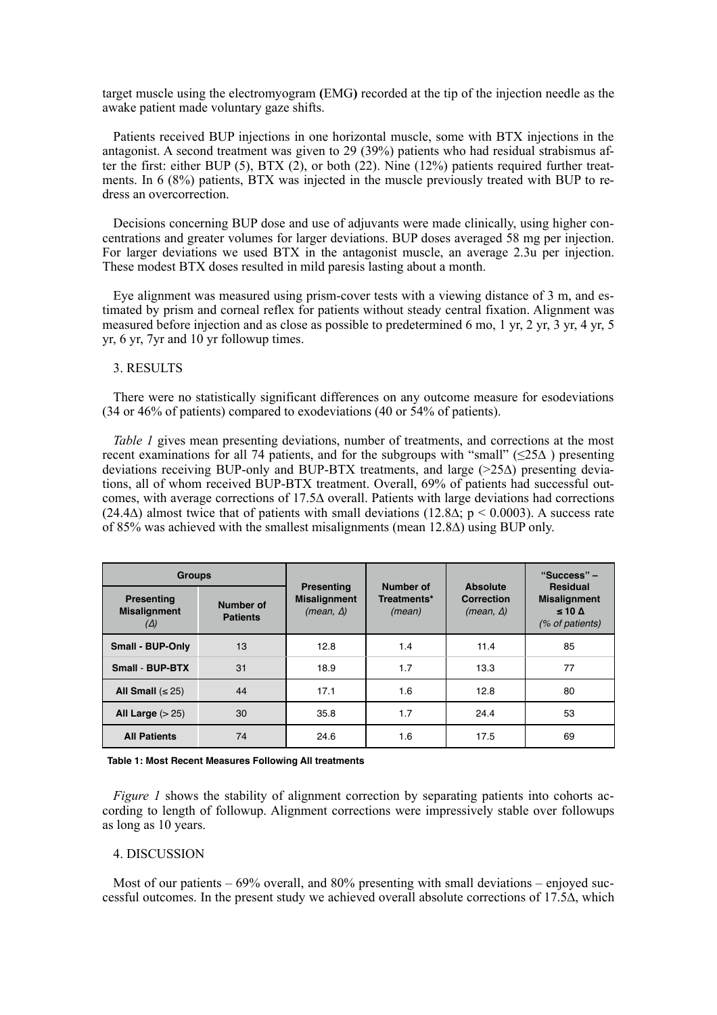target muscle using the electromyogram **(**EMG**)** recorded at the tip of the injection needle as the awake patient made voluntary gaze shifts.

Patients received BUP injections in one horizontal muscle, some with BTX injections in the antagonist. A second treatment was given to 29 (39%) patients who had residual strabismus after the first: either BUP  $(5)$ , BTX  $(2)$ , or both  $(22)$ . Nine  $(12%)$  patients required further treatments. In 6 (8%) patients, BTX was injected in the muscle previously treated with BUP to redress an overcorrection.

Decisions concerning BUP dose and use of adjuvants were made clinically, using higher concentrations and greater volumes for larger deviations. BUP doses averaged 58 mg per injection. For larger deviations we used BTX in the antagonist muscle, an average 2.3u per injection. These modest BTX doses resulted in mild paresis lasting about a month.

Eye alignment was measured using prism-cover tests with a viewing distance of 3 m, and estimated by prism and corneal reflex for patients without steady central fixation. Alignment was measured before injection and as close as possible to predetermined 6 mo, 1 yr, 2 yr, 3 yr, 4 yr, 5 yr, 6 yr, 7yr and 10 yr followup times.

# 3. RESULTS

There were no statistically significant differences on any outcome measure for esodeviations (34 or 46% of patients) compared to exodeviations (40 or 54% of patients).

*Table 1* gives mean presenting deviations, number of treatments, and corrections at the most recent examinations for all 74 patients, and for the subgroups with "small" (≤25∆ ) presenting deviations receiving BUP-only and BUP-BTX treatments, and large (>25∆) presenting deviations, all of whom received BUP-BTX treatment. Overall, 69% of patients had successful outcomes, with average corrections of 17.5∆ overall. Patients with large deviations had corrections  $(24.4\Delta)$  almost twice that of patients with small deviations  $(12.8\Delta; p \le 0.0003)$ . A success rate of 85% was achieved with the smallest misalignments (mean 12.8∆) using BUP only.

| <b>Groups</b>                                          |                              |                                                              |                                    | Absolute                              | "Success" -                                                                   |
|--------------------------------------------------------|------------------------------|--------------------------------------------------------------|------------------------------------|---------------------------------------|-------------------------------------------------------------------------------|
| <b>Presenting</b><br><b>Misalignment</b><br>$(\Delta)$ | Number of<br><b>Patients</b> | <b>Presenting</b><br><b>Misalignment</b><br>$(mean, \Delta)$ | Number of<br>Treatments*<br>(mean) | <b>Correction</b><br>$(mean, \Delta)$ | <b>Residual</b><br><b>Misalignment</b><br>$\leq 10 \Delta$<br>(% of patients) |
| <b>Small - BUP-Only</b>                                | 13                           | 12.8                                                         | 1.4                                | 11.4                                  | 85                                                                            |
| <b>Small - BUP-BTX</b>                                 | 31                           | 18.9                                                         | 1.7                                | 13.3                                  | 77                                                                            |
| All Small $(< 25)$                                     | 44                           | 17.1                                                         | 1.6                                | 12.8                                  | 80                                                                            |
| All Large $(>25)$                                      | 30                           | 35.8                                                         | 1.7                                | 24.4                                  | 53                                                                            |
| <b>All Patients</b>                                    | 74                           | 24.6                                                         | 1.6                                | 17.5                                  | 69                                                                            |

**Table 1: Most Recent Measures Following All treatments**

*Figure 1* shows the stability of alignment correction by separating patients into cohorts according to length of followup. Alignment corrections were impressively stable over followups as long as 10 years.

#### 4. DISCUSSION

Most of our patients  $-69\%$  overall, and 80% presenting with small deviations  $-$  enjoyed successful outcomes. In the present study we achieved overall absolute corrections of 17.5∆, which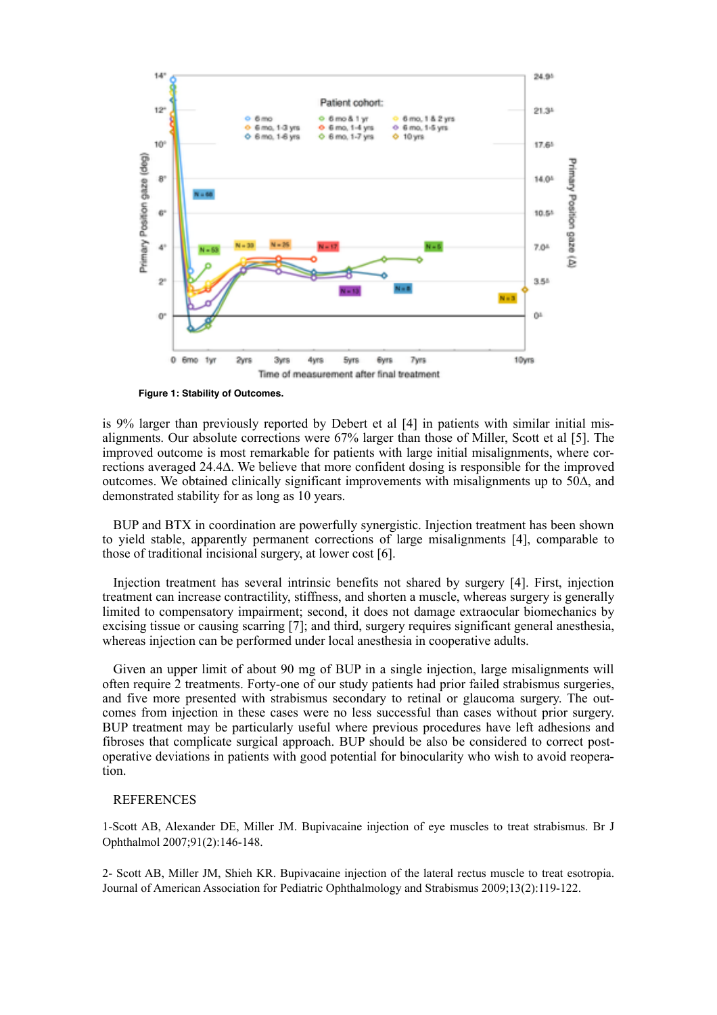

**Figure 1: Stability of Outcomes.**

is 9% larger than previously reported by Debert et al [4] in patients with similar initial misalignments. Our absolute corrections were 67% larger than those of Miller, Scott et al [5]. The improved outcome is most remarkable for patients with large initial misalignments, where corrections averaged 24.4∆. We believe that more confident dosing is responsible for the improved outcomes. We obtained clinically significant improvements with misalignments up to 50∆, and demonstrated stability for as long as 10 years.

BUP and BTX in coordination are powerfully synergistic. Injection treatment has been shown to yield stable, apparently permanent corrections of large misalignments [4], comparable to those of traditional incisional surgery, at lower cost [6].

Injection treatment has several intrinsic benefits not shared by surgery [4]. First, injection treatment can increase contractility, stiffness, and shorten a muscle, whereas surgery is generally limited to compensatory impairment; second, it does not damage extraocular biomechanics by excising tissue or causing scarring [7]; and third, surgery requires significant general anesthesia, whereas injection can be performed under local anesthesia in cooperative adults.

Given an upper limit of about 90 mg of BUP in a single injection, large misalignments will often require 2 treatments. Forty-one of our study patients had prior failed strabismus surgeries, and five more presented with strabismus secondary to retinal or glaucoma surgery. The outcomes from injection in these cases were no less successful than cases without prior surgery. BUP treatment may be particularly useful where previous procedures have left adhesions and fibroses that complicate surgical approach. BUP should be also be considered to correct postoperative deviations in patients with good potential for binocularity who wish to avoid reoperation.

# REFERENCES

1-Scott AB, Alexander DE, Miller JM. Bupivacaine injection of eye muscles to treat strabismus. Br J Ophthalmol 2007;91(2):146-148.

2- Scott AB, Miller JM, Shieh KR. Bupivacaine injection of the lateral rectus muscle to treat esotropia. Journal of American Association for Pediatric Ophthalmology and Strabismus 2009;13(2):119-122.